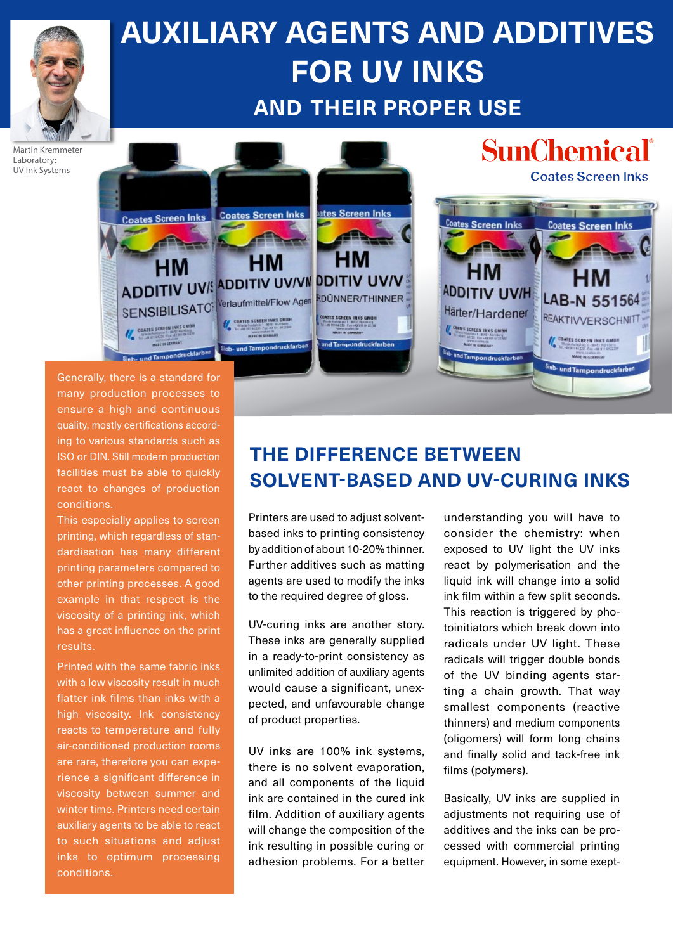

# **AUXILIARY AGENTS AND ADDITIVES FOR UV INKS AND THEIR PROPER USE**

Martin Kremmeter Laboratory: UV Ink Systems



Generally, there is a standard for many production processes to ensure a high and continuous quality, mostly certifications according to various standards such as ISO or DIN. Still modern production facilities must be able to quickly react to changes of production conditions.

This especially applies to screen printing, which regardless of standardisation has many different printing parameters compared to other printing processes. A good example in that respect is the viscosity of a printing ink, which has a great influence on the print results.

Printed with the same fabric inks with a low viscosity result in much flatter ink films than inks with a high viscosity. Ink consistency reacts to temperature and fully air-conditioned production rooms are rare, therefore you can experience a significant difference in viscosity between summer and winter time. Printers need certain auxiliary agents to be able to react to such situations and adjust inks to optimum processing conditions.

# **THE DIFFERENCE BETWEEN SOLVENT-BASED AND UV-CURING INKS**

Printers are used to adjust solventbased inks to printing consistency by addition of about 10-20% thinner. Further additives such as matting agents are used to modify the inks to the required degree of gloss.

UV-curing inks are another story. These inks are generally supplied in a ready-to-print consistency as unlimited addition of auxiliary agents would cause a significant, unexpected, and unfavourable change of product properties.

UV inks are 100% ink systems, there is no solvent evaporation, and all components of the liquid ink are contained in the cured ink film. Addition of auxiliary agents will change the composition of the ink resulting in possible curing or adhesion problems. For a better understanding you will have to consider the chemistry: when exposed to UV light the UV inks react by polymerisation and the liquid ink will change into a solid ink film within a few split seconds. This reaction is triggered by photoinitiators which break down into radicals under UV light. These radicals will trigger double bonds of the UV binding agents starting a chain growth. That way smallest components (reactive thinners) and medium components (oligomers) will form long chains and finally solid and tack-free ink films (polymers).

Basically, UV inks are supplied in adiustments not requiring use of additives and the inks can be processed with commercial printing equipment. However, in some exept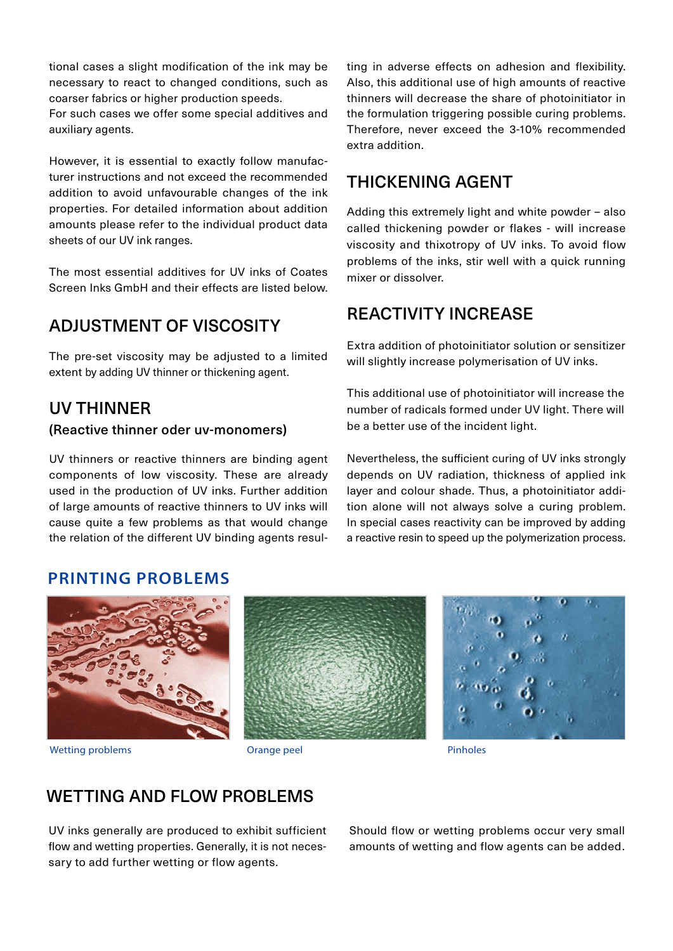tional cases a slight modification of the ink may be necessary to react to changed conditions, such as coarser fabrics or higher production speeds.

For such cases we offer some special additives and auxiliary agents.

However, it is essential to exactly follow manufacturer instructions and not exceed the recommended addition to avoid unfavourable changes of the ink properties. For detailed information about addition amounts please refer to the individual product data sheets of our UV ink ranges.

The most essential additives for UV inks of Coates Screen Inks GmbH and their effects are listed below.

### ADJUSTMENT OF VISCOSITY

The pre-set viscosity may be adjusted to a limited extent by adding UV thinner or thickening agent.

#### UV THINNER

#### (Reactive thinner oder uv-monomers)

UV thinners or reactive thinners are binding agent components of low viscosity. These are already used in the production of UV inks. Further addition of large amounts of reactive thinners to UV inks will cause quite a few problems as that would change the relation of the different UV binding agents resulting in adverse effects on adhesion and flexibility. Also, this additional use of high amounts of reactive thinners will decrease the share of photoinitiator in the formulation triggering possible curing problems. Therefore, never exceed the 3-10% recommended extra addition.

#### THICKENING AGENT

Adding this extremely light and white powder – also called thickening powder or flakes - will increase viscosity and thixotropy of UV inks. To avoid flow problems of the inks, stir well with a quick running mixer or dissolver.

#### REACTIVITY INCREASE

Extra addition of photoinitiator solution or sensitizer will slightly increase polymerisation of UV inks.

This additional use of photoinitiator will increase the number of radicals formed under UV light. There will be a better use of the incident light.

Nevertheless, the sufficient curing of UV inks strongly depends on UV radiation, thickness of applied ink layer and colour shade. Thus, a photoinitiator addition alone will not always solve a curing problem. In special cases reactivity can be improved by adding a reactive resin to speed up the polymerization process.

#### **PRINTING PROBLEMS**



Wetting problems **Orange peel Communication Pinholes Pinholes Pinholes** 



#### WETTING AND FLOW PROBLEMS

UV inks generally are produced to exhibit sufficient flow and wetting properties. Generally, it is not necessary to add further wetting or flow agents.

Should flow or wetting problems occur very small amounts of wetting and flow agents can be added .